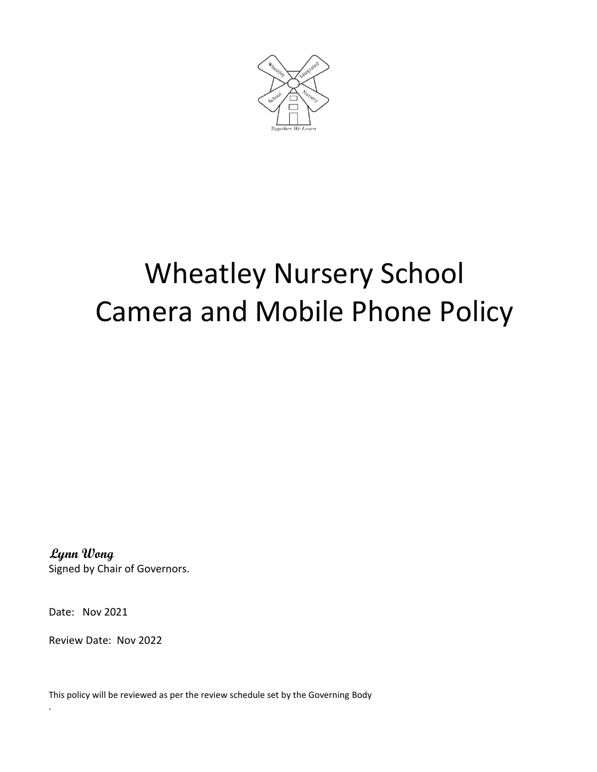

## Wheatley Nursery School Camera and Mobile Phone Policy

 **Lynn Wong** Signed by Chair of Governors.

Date: Nov 2021

.

Review Date: Nov 2022

This policy will be reviewed as per the review schedule set by the Governing Body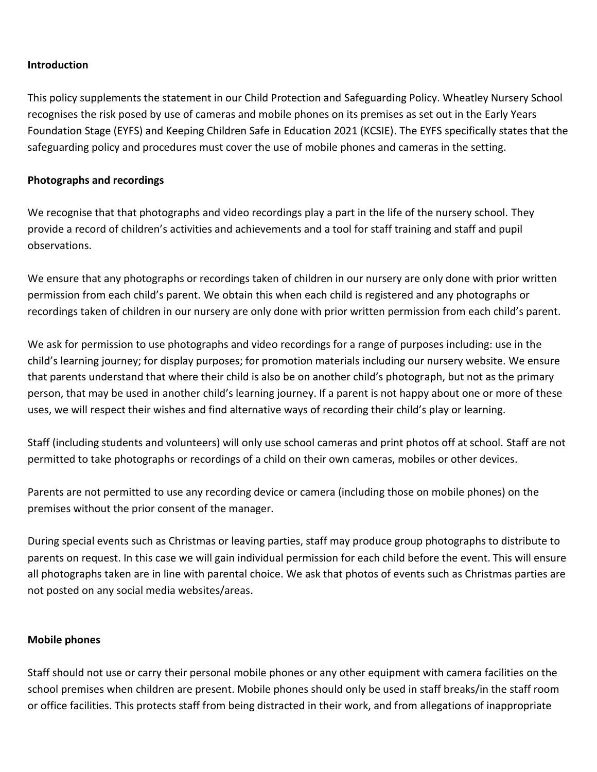## **Introduction**

This policy supplements the statement in our Child Protection and Safeguarding Policy. Wheatley Nursery School recognises the risk posed by use of cameras and mobile phones on its premises as set out in the Early Years Foundation Stage (EYFS) and Keeping Children Safe in Education 2021 (KCSIE). The EYFS specifically states that the safeguarding policy and procedures must cover the use of mobile phones and cameras in the setting.

## **Photographs and recordings**

We recognise that that photographs and video recordings play a part in the life of the nursery school. They provide a record of children's activities and achievements and a tool for staff training and staff and pupil observations.

We ensure that any photographs or recordings taken of children in our nursery are only done with prior written permission from each child's parent. We obtain this when each child is registered and any photographs or recordings taken of children in our nursery are only done with prior written permission from each child's parent.

We ask for permission to use photographs and video recordings for a range of purposes including: use in the child's learning journey; for display purposes; for promotion materials including our nursery website. We ensure that parents understand that where their child is also be on another child's photograph, but not as the primary person, that may be used in another child's learning journey. If a parent is not happy about one or more of these uses, we will respect their wishes and find alternative ways of recording their child's play or learning.

Staff (including students and volunteers) will only use school cameras and print photos off at school. Staff are not permitted to take photographs or recordings of a child on their own cameras, mobiles or other devices.

Parents are not permitted to use any recording device or camera (including those on mobile phones) on the premises without the prior consent of the manager.

During special events such as Christmas or leaving parties, staff may produce group photographs to distribute to parents on request. In this case we will gain individual permission for each child before the event. This will ensure all photographs taken are in line with parental choice. We ask that photos of events such as Christmas parties are not posted on any social media websites/areas.

## **Mobile phones**

Staff should not use or carry their personal mobile phones or any other equipment with camera facilities on the school premises when children are present. Mobile phones should only be used in staff breaks/in the staff room or office facilities. This protects staff from being distracted in their work, and from allegations of inappropriate